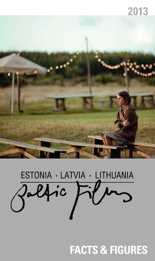### **2013**



# ESTONIA · LATVIA · LITHUANIA Dalfic

**Facts & FIGURES**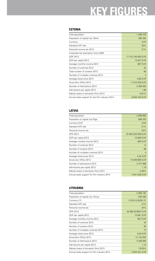# **KEY FIGURES**

#### **ESTONIA**

| Total population                                | 1 286 479       |
|-------------------------------------------------|-----------------|
| Population of capital city Tallinn              | 395 392         |
| Currency                                        | <b>EUR</b>      |
| Standard VAT rate                               | 20%             |
| Personal income tax 2013                        | 21%             |
| Corporate tax exemption since 2000              |                 |
| GDP 2012                                        | 17415100000 EUR |
| GDP per capita 2012                             | 13 537 EUR      |
| Average monthly income 2012                     | <b>887 EUR</b>  |
| Number of cinemas 2013                          | 43              |
| Total number of screens 2013                    | 66              |
| Number of multiplex cinemas 2013                | 3               |
| Average ticket price 2013                       | 4,60 EUR        |
| Gross Box Office 2013                           | 11810329 EUR    |
| Number of Admissions 2013                       | 2 558 553       |
| Admissions per capita 2013                      | 1,99            |
| Market share of domestic films 2013             | 5,91%           |
| Annual state support for the film industry 2014 | 6853223 EUR     |

#### **LATVIA**

| Total population                            | 2 006 900          |
|---------------------------------------------|--------------------|
| Population of capital city Riga             | 699 203            |
| <b>Currency EUR</b>                         | <b>EUR</b>         |
| Standard VAT rate                           | 21%                |
| Personal income tax                         | 24%                |
| GPD 2012                                    | 22 082 633 000 EUR |
| GDP per capita 2012                         | 10 858 EUR         |
| Average monthly income 2012                 | <b>690 EUR</b>     |
| Number of cinemas 2013                      | 14                 |
| Number of screens 2013                      | 66                 |
| Number of multiplex cinemas 2013            | $\overline{4}$     |
| Average ticket price 2013                   | 4,42 EUR           |
| Gross box Office 2013                       | 10 309 885 EUR     |
| Number of admissions 2013                   | 2 377 686          |
| Admissions per capita 2013                  | 1,18               |
| Market share of domestic films 2013         | 4,56%              |
| Annual state support for film industry 2014 | 4 041 639 EUR      |

#### **LITHUANIA**

| Total population                            | 2958182           |
|---------------------------------------------|-------------------|
| Population of capital city Vilnius          | 526 356           |
| Currency LTL                                | 1 EUR=3,4528 LTL  |
| Standard VAT rate                           | 21%               |
| Personal income tax                         | 24%               |
| GPD 2012                                    | 32 984 023697 EUR |
| GDP per capita 2012                         | 10 981 EUR        |
| Average monthly income 2012                 | <b>667 EUR</b>    |
| Number of cinemas 2013                      | 42                |
| Number of screens 2013                      | 95                |
| Number of multiplex cinemas 2013            | 10                |
| Average ticket price 2013                   | 4,04 EUR          |
| Gross Box Office 2013                       | 13 142 652        |
| Number of Admissions 2013                   | 3 256 995         |
| Admissions per capita 2013                  | 1,10              |
| Market share of domestic films 2013         | 16,93%            |
| Annual state support for film industry 2014 | 3 024 501 EUR     |
|                                             |                   |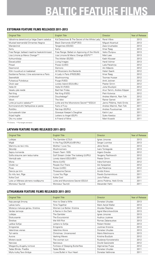# **BALTIC FEATURE FILMS**

#### **ESTONIAN FEATURE FILMS RELEASED 2011-2013**

| <b>Original Title</b>                         | <b>English Title</b>                          | Director                   | Year of Release |
|-----------------------------------------------|-----------------------------------------------|----------------------------|-----------------|
| Väikelinna detektiivid ja Valge Daami saladus | Kid Detectives & The Secret of the White Lady | René Vilbre                | 2013            |
| Mustad teemandid/ Dimantes Negros             | Black Diamonds (ES/PT/EE)                     | Miquel Alcantud            | 2013            |
| Mandariinid                                   | Tangerines (EE/GE)                            | Zaza Urushadze             | 2013            |
| Kertu                                         | Kertu                                         | Ilmar Raag                 | 2013            |
| Free Range: ballaad maailma heakskiitmisest   | Free Range: Ballad on Approving of the World  | Veiko Õunpuu               | 2013            |
| Lisa Limone ja Maroc Orange**                 | Lisa Limone & Maroc Orange (EE/FI)**          | Mait Laas                  | 2013            |
| Kohtumõistja                                  | The Arbiter (EE/SE)                           | Kadri Kõusaar              | 2013            |
| Elavad pildid                                 | Living Images                                 | Hardi Volmer               | 2013            |
| Pitsad                                        | Pizzas (LV/EE)                                | Laila Pakalnina            | 2012            |
| Deemonid                                      | Demons                                        | Ain Mäeots                 | 2012            |
| Kõik muusikud on kaabakad                     | All Musicians Are Bastards                    | Heleri Saarik              | 2012            |
| Eestlanna Pariisis / Une estonienne a Paris   | A Lady in Paris (FR/EE/BE)                    | Ilmar Raag                 | 2012            |
| Seenelkäik                                    | Mushrooming                                   | Toomas Hussar              | 2012            |
| Puhastus/ Puhdistus                           | Purge (FI/EE)                                 | Antti Jokinen              | 2012            |
| Üksik saar                                    | Lonely Island (EE/LV/BL)                      | Peeter Simm                | 2012            |
| Hella W                                       | Hella W (FI/EE)                               | Juha Wuolijoki             | 2012            |
| Vasaku jala reede                             | Bad Hair Friday                               | Arun Tamm, Andres Kõpper   | 2012            |
| Rat King                                      | Rat King (FI/EE)                              | Petri Kotwica              | 2012            |
| Umbkotid*                                     | Douchebags*                                   | Andres Maimik, Rain Tolk   | 2012            |
| Idioot                                        | The Idiot                                     | <b>Rainer Sarnet</b>       | 2011            |
| Lotte ja kuukivi saladus**                    | Lotte and the Moonstone Secret**(EE/LV)       | Janno Põldma, Heiki Ernits | 2011            |
| Kormoranid ehk Nahkpükse ei pesta             | Farts of Fury                                 | Andres Maimik, Rain Tolk   | 2011            |
| Rotilõks                                      | Rat-trap (EE/RU)                              | Andres Puustusmaa          | 2011            |
| Surnuaiavahi tütar                            | Graveyar Keeper's Daughter                    | Katrin Laur                | 2011            |
| Kirjad Inglile                                | Letters to Angel (EE/FI)                      | Sulev Keedus               | 2011            |
| Üks mu sober                                  | A Friend of Mine                              | Mart Kivastik              | 2011            |

\*TV Drama \*\*Full length animation

#### **LATVIAN FEATURE FILMS RELEASED 2011-2013**

| <b>Original Title</b>           | <b>English Title</b>                  | <b>Director</b>            | Year of Release |
|---------------------------------|---------------------------------------|----------------------------|-----------------|
| Lošėjas                         | The Gambler (LT/LV)                   | Ignas Jonynas              | 2013            |
| Miglā                           | In the Fog (DE/RU/LV/BY/NL)           | Sergei Loznitsa            | 2013            |
| Mammu es tevi mīlu              | Mother I Love You                     | Jānis Nords                | 2013            |
| Sēnotāji                        | Mushroomers                           | Ivars Tontegode            | 2013            |
| Sapnu komanda                   | Dream Team 1935                       | Aigars Grauba              | 2012            |
| Golfa straume zem ledus kalna   | Gulf Stream Under The Iceberg (LV/RU) | Yevgeny Pashkevich         | 2012            |
| Vientulā sala                   | Lonely Island (EE/LV/BY)              | Peeter Simm                | 2012            |
| Mona                            | Mona (LV/IS)                          | Ināra Kolmane              | 2012            |
| Cilvēki tur                     | People Out There                      | Aik Karapetian             | 2012            |
| Picas                           | Pizzas (LV/EE)                        | Laila Pakalnina            | 2012            |
| Dancis pa trim                  | Threesome Dance                       | Arvids Krievs              | 2011            |
| Es mīlu tevi, Rīga              | I Love You Riga                       | Pavels Gumennikovs         | 2011            |
| Kolka Cool                      | Kolka Cool                            | Juris Poškus               | 2011            |
| Lote un Mēness akmens noslēpums | Lotte and Moonstone Secret (EE/LV)    | Janno Poldma, Heiki Ernits | 2011            |
| Monsieur Taurinš                | Monsieur Taurinš                      | Alexander Hahn             | 2011            |

#### **LITHUANIAN FEATURE FILMS RELEASED 2011-2013**

| <b>Original Title</b>            | <b>English Title</b>             | <b>Director</b>       | Year of Release |
|----------------------------------|----------------------------------|-----------------------|-----------------|
| Kaip pavogti žmoną               | How to Steal a Wife              | Donatas Ulvydas       | 2013            |
| Laikas kartu                     | Time Together                    | Mark Aerial Waller    | 2013            |
| Moterys meluoja geriau. Kristina | Women Lie Better, Kristina       | Alvydas Šlepikas      | 2013            |
| Vardas tamsoje                   | A Name in the Dark               | Agnė Marcinkevičiūtė  | 2013            |
| Lošėjas                          | The Gambler                      | Ignas Jonynas         | 2013            |
| Ekskursantė                      | The Excursionist                 | Audrius Juzėnas       | 2013            |
| <b>Streikas</b>                  | We Will Riot                     | Romas Zabarauskas     | 2013            |
| Laiškai Sofijai                  | Letters to Sofija                | Robert Mullan         | 2013            |
| Emigrantai                       | Emigrants                        | Justinas Krisiūna     | 2013            |
| Valentinas vienas                | Valentine Alone                  | Donatas Ulvydas       | 2013            |
| Tyli naktis                      | Christmas, Uncensored            | Maris Martinsons      | 2013            |
| Aurora                           | Vashing Waves                    | Kristina Buožytė      | 2012            |
| Moters saulė                     | The woman sun                    | Ruslanas Korostenskis | 2012            |
| Narcizas                         | Narcissus                        | Dovilė Gasiūnaitė     | 2012            |
| Miegančių drugelių tvirtovė      | Fortress of Sleeping Butterflies | Algimantas Puipa      | 2012            |
| Tadas Blinda. Pradžia            | Tadas Blinda                     | Donatas Ulvydas       | 2011            |
| Myliu kulka Tavo širdyje         | I Love Bullet in Your Heart      | Donatas Vaišnoras     | 2011            |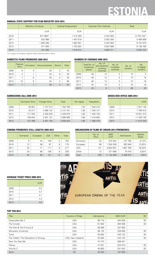# **ESTONIA**

#### **ANNUAL STATE SUPPORT FOR FILM INDUSTRY 2010-2014**

|      | Ministry of Culture | <b>Cultural Endowment</b> | Estonian Film Institute | Total      |
|------|---------------------|---------------------------|-------------------------|------------|
|      | <b>EUR</b>          | <b>EUR</b>                | <b>EUR</b>              | <b>EUR</b> |
| 2010 | 877 060*            | 1414290                   | 3 434 383               | 5 725 732* |
| 2011 | 522 989             | 407619                    | 3 535 350               | 5465958    |
| 2012 | 063 288             | 664 001                   | 3 4 3 4 3 8 4           | 6 161 673  |
| 2013 | 571 000             | 1 732 822                 | 3824938                 | 6 128 760  |
| 2014 | 341 000             | 1819912                   | 4 692 311               | 6853223    |

\*incl. support for European Academy Award Ceremony 2010 in Tallinn

#### **DOMESTIC FILMS PREMIERED 2009-2013**

|      | Feature<br>films | Animation | <b>Documentaries</b> | <b>Shorts</b> | Total |
|------|------------------|-----------|----------------------|---------------|-------|
| 2009 | 6                | 5         | 30                   | 2             | 43    |
| 2010 |                  |           | 34                   | 6             | 45    |
| 2011 |                  | 6         | 35                   | 5             | 53    |
| 2012 | 10               | 8         | 34                   | 4             | 56    |
| 2013 |                  |           | 30                   | $\mathcal{P}$ | 44    |

#### **NUMBER OF CINEMAS 2009-2013**

|      | Total No. of<br>screening<br>places | No. of<br>permanently<br>working<br>cinemas | No. of<br>multiplex<br>cinemas | No. of<br>screens | No.<br>of digital<br>screens |
|------|-------------------------------------|---------------------------------------------|--------------------------------|-------------------|------------------------------|
| 2009 | 49                                  | 12                                          | 3                              | 74                | 4                            |
| 2010 | 49                                  | 12                                          | 3                              | 74                | 15                           |
| 2011 | 49                                  | 12                                          | 3                              | 74                | 18                           |
| 2012 | 45                                  | 10                                          | 3                              | 70                | 18                           |
| 2013 | 43                                  | 9                                           | 3                              | 66                | 29                           |

**GROSS BOX OFFICE 2009-2013**

#### **ADMISSIONS (all) 2009-2013**

|      | Domestic films | Foreign films | Total     | Per capita | Population |      | <b>EUR</b> |
|------|----------------|---------------|-----------|------------|------------|------|------------|
| 2009 | 36 567         | 1 747 213     | 783 780   | , 33       | 340415     | 2009 | 7527139    |
| 2010 | 43 317         | 2 088 124     | 2 131 441 | ,59        | 340 127    | 2010 | 7799015    |
| 2011 | 171 335        | 2 2 5 5 5 3 5 | 2 426 870 | 1,80       | 340 194    | 2011 | 10 051 315 |
| 2012 | 195 844        | 2 3 9 1 1 5 1 | 2 586 995 | 96, ا      | 318 005    | 2012 | 11 429 139 |
| 2013 | 151 398        | 2 407 155     | 2 558 553 | 1,99       | 286 479    | 2013 | 11810329   |

#### **CINEMA PREMIERES (FULL-LENGTH) 2009-2013**

|      | <b>Domestic</b> | European | <b>USA</b> | Other | Total |
|------|-----------------|----------|------------|-------|-------|
| 2009 | 9               | 44       | 106        | 3     | 162   |
| 2010 | 12              | 58       | 97         | 8     | 175   |
| 2011 | 23              | 71       | 117        | 6     | 217   |
| 2012 | 24              | 86       | 109        | 9     | 228   |
| 2013 | 22              | 80       | 121        | 12    | 235   |

#### **BREAKDOWN OF FILMS BY ORIGIN 2013 (premieres)**

|                 | No. of<br>films | <b>GBO</b><br><b>EUR</b> | Admissions | Market<br>Share |
|-----------------|-----------------|--------------------------|------------|-----------------|
| <b>Domestic</b> | 22              | 572942                   | 147 795    | 6,13%           |
| European        | 80              | 1 354 250                | 303 949    | 12.62%          |
| USA             | 121             | 8 834 601                | 1887760    | 78,33%          |
| Other           | 12              | 371 606                  | 70 470     | 2.92%           |
| Total           | 235             | 11 133 399               | 2 409 974  | 100%            |

#### **AVERAGE TICKET PRICE 2009-2013**

|      | <b>EUR</b> |
|------|------------|
| 2009 | 4,2        |
| 2010 | 3,7        |
| 2011 | 4,1        |
| 2012 | 4,4        |
| 2013 | 4,6        |



#### **TOP TEN 2013**

| Title                               | Country of Origin | Admissions | <b>GBO EUR</b> | 3D |
|-------------------------------------|-------------------|------------|----------------|----|
| Despicable Me 2                     | <b>USA</b>        | 96 719     | 404 505        | 3D |
| The Croods                          | <b>USA</b>        | 61 902     | 264 506        | 3D |
| The Fast & The Furious 6            | <b>USA</b>        | 58 389     | 257 063        |    |
| Monsters University                 | <b>USA</b>        | 58 132     | 236 056        | 3D |
| Turbo                               | <b>USA</b>        | 55 852     | 240 122        | 3D |
| The Hobbit: The Desolation of Smaug | USA, New Zealand  | 52 082     | 240 122        | 3D |
| Now You See Me                      | <b>USA</b>        | 47473      | 308 401        |    |
| Planes                              | <b>USA</b>        | 47 301     | 224 010        | 3D |
| Smurfs 2                            | <b>USA</b>        | 45 683     | 201 642        | 3D |
| Kertu                               | <b>EE</b>         | 42 543     | 197 655        |    |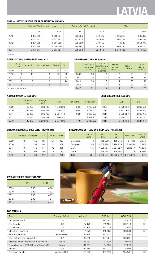# **LATVIA**

#### **ANNUAL STATE SUPPORT FOR FILM INDUSTRY 2010-2014**

|         | National Film Centre of Latvia |            |         | <b>Culture Capital Foundation</b> | Total     |               |
|---------|--------------------------------|------------|---------|-----------------------------------|-----------|---------------|
|         | LVL                            | <b>EUR</b> | LVL     | <b>EUR</b>                        | LVL       | <b>EUR</b>    |
| 2010    | 1065010                        | 515381     | 260 335 | 370 425                           | 1 325 345 | 885 807       |
| 2011    | 1 160 461                      | 651 197    | 241828  | 344 092                           | 1402289   | 995 289       |
| 2012    | 1064266                        | 1 514 323  | 379832  | 540 455                           | 1444098   | 2 0 5 4 7 7 8 |
| 2013    | 466 398                        | 2 086 496  | 398 967 | 567 679                           | 865 365   | 2654175       |
| $2014*$ | 2 471 847                      | 3 517 121  | 368 633 | 524 518                           | 2 840 480 | 4 041 639     |

\*projected

#### **DOMESTIC FILMS PREMIERED 2009-2013**

|      | Feature<br>films | Animation | <b>Documentaries</b> | Shorts | Total |
|------|------------------|-----------|----------------------|--------|-------|
| 2009 | 4                | 11        | 21                   | 6      | 42    |
| 2010 | 3                | 10        | 19                   | 3      | 35    |
| 2011 | $5*$             | 4         | 17                   | 2      | 28    |
| 2012 | 6                | 8         | 8                    | 2      | 24    |
| 2013 |                  | 3         | 18                   | 2      | 27    |

### **NUMBER OF CINEMAS 2009-2013**

|      | Total No. of<br>screening<br>places | No. of<br>permanently<br>working<br>cinemas | No. of<br>multiplex<br>cinemas | No. of<br>screens | No. of<br>digital<br>screens |
|------|-------------------------------------|---------------------------------------------|--------------------------------|-------------------|------------------------------|
| 2009 | 28                                  | 17                                          | 3                              | 55                | 4                            |
| 2010 | 26                                  | 17                                          | 4                              | 63                | 11                           |
| 2011 | 26                                  | 17                                          | 4                              | 63                | 15                           |
| 2012 | 25                                  | 17                                          | 4                              | 62                | 28                           |
| 2013 | 32                                  | 14                                          | $\overline{4}$                 | 66                | 36                           |

**GROSS BOX OFFICE 2009-2013**

#### \*Incl. 1 full-length animation

#### **ADMISSIONS (all) 2009-2013**

|      | <b>Domestic</b><br>films | Foreign<br>films | Total     | Per capita | Population    |      | <b>LVL</b> | <b>EUR</b>    |
|------|--------------------------|------------------|-----------|------------|---------------|------|------------|---------------|
| 2009 | 83 230                   | 860 769          | 1 943 999 | 0,86       | 2 2 5 2 5 0 0 | 2009 | 5875802    | 8 3 6 0 5 6 1 |
| 2010 | 146 379                  | 959848           | 2 106 227 | 0.94       | 2 248 000     | 2010 | 5951708    | 8468566       |
| 2011 | 92 386                   | 968 763          | 2 061 149 | 0,99       | 2 067 887     | 2011 | 5895627    | 8388770       |
| 2012 | 103 040                  | 2 183 302        | 2 286 342 | 1,13       | 2 029 400     | 2012 | 6 856 334  | 9 755 740     |
| 2013 | 143 379                  | 2 2 3 4 3 0 7    | 2 377 686 | 1,18       | 2 006 900     | 2013 | 7 245 828  | 10 309 885    |

#### **CINEMA PREMIERES (FULL-LENGTH) 2009-2013**

|      | Domestic | European | <b>USA</b> | Other | Total |
|------|----------|----------|------------|-------|-------|
| 2009 | 18       | 158      | 105        | 21    | 302   |
| 2010 | 19       | 134      | 104        | 44    | 301   |
| 2011 | 16       | 116      | 117        | 42    | 291   |
| 2012 | 16       | 66       | 106        | 4     | 192   |
| 2013 | 8        | 50       | 116        | 27    | 201   |

#### **BREAKDOWN OF FILMS BY ORIGIN 2013 (premieres)**

|          | No. of<br>films | <b>GBO</b><br><b>LVL</b> | <b>GBO</b><br><b>EUR</b> | Admissions | Market<br>Share |
|----------|-----------------|--------------------------|--------------------------|------------|-----------------|
| Domestic | 8               | 119 038                  | 169 376                  | 81 132     | 3,97%           |
| European | 50              | 1 539 798                | 2 190 935                | 210 953    | 10.31%          |
| USA      | 116             | 4 980 791                | 7 087 027                | 1582317    | 77.35%          |
| Other    | 27              | 566 744                  | 806 404                  | 171 174    | 8.37%           |
| Total    | 201             | 7 206 371                | 10 253 742               | 2 045 576  | 100%            |

#### **AVERAGE TICKET PRICE 2009-2013**

|      | <b>LVL</b> | <b>EUR</b> |
|------|------------|------------|
| 2009 | 3,50       | 4,98       |
| 2010 | 2,80       | 4,02       |
| 2011 | 2,86       | 4,07       |
| 2012 | 3,00       | 4,27       |
| 2013 | 3,10       | 4,42       |



#### **TOP TEN 2013**

| Title                                  | Country of Origin | Admissions | <b>GBO LVL</b> | <b>GBO EUR</b> |    |
|----------------------------------------|-------------------|------------|----------------|----------------|----|
| Despicable Me 2                        | <b>USA</b>        | 101 512    | 291 401        | 414 626        | 3D |
| The Croods                             | <b>USA</b>        | 67 173     | 203 190        | 289 113        | 3D |
| The Smurfs 2                           | <b>USA</b>        | 57848      | 167 729        | 238 657        | 3D |
| Monsters University                    | <b>USA</b>        | 54 073     | 145 033        | 206 363        | 3D |
| Now You See Me                         | France/USA        | 46899      | 153 134        | 217890         |    |
| The Fast and The Furious 6             | <b>USA</b>        | 45 610     | 137 954        | 196 291        |    |
| Mammu es tevi mīlu / Mother I Love You | Latvia            | 43 4 33    | 77 629         | 110456         |    |
| Sapnu komanda 1935 / Dream Team 1935   | Latvia            | 41 351     | 54 589         | 77 673         |    |
| Gravity                                | <b>USA</b>        | 39 589     | 151 731        | 215894         | 3D |
| The Great Gatsby                       | Australia/USA     | 38 645     | 137 019        | 194 961        | 3D |
|                                        |                   |            |                |                |    |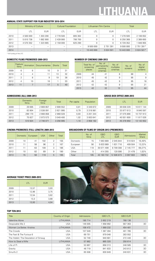# **LITHUANIA**

#### **ANNUAL STATE SUPPORT FOR FILM INDUSTRY 2010-2014**

|      | Ministry of Culture      |                              | <b>Cultural Foundation</b> |            | Lithuanian Film Centre |              | Total      |                |
|------|--------------------------|------------------------------|----------------------------|------------|------------------------|--------------|------------|----------------|
|      | LTL                      | <b>EUR</b>                   | LTL                        | <b>EUR</b> | LTL                    | <b>EUR</b>   | LTL        | <b>EUR</b>     |
| 2010 | 4 500 000                | 1 303 290                    | 2 778 500                  | 805 362    | 0                      | 0            | 7 278 500  | 2 108 652      |
| 2011 | 5810738                  | 682 900                      | 2 439 900                  | 706 700    | $\Omega$               | 0            | 8 250 368  | 2 389 600      |
| 2012 | 4 570 352                | 1 323 665                    | 2 159 000                  | 625 290    | $\Omega$               | 0            | 6 729 352  | 948 955        |
| 2013 | -                        | $\overline{\phantom{0}}$     | -                          | -          | 9 500 000              | 2 751 391    | 9 500 000  | 2 751 391*     |
| 2014 | $\overline{\phantom{a}}$ | $\qquad \qquad \blacksquare$ | $\qquad \qquad -$          | -          | 10 443 000             | 3 0 24 5 0 1 | 10 443 000 | 3 0 24 5 0 1 * |

\* All funding of the LFC

#### **DOMESTIC FILMS PREMIERED 2009-2013**

|      | Feature<br>films |    | Animation Documentaries | <b>Shorts</b> | Total |
|------|------------------|----|-------------------------|---------------|-------|
| 2009 | 6                | 6  | 10                      | 9             | 31    |
| 2010 |                  |    | 11                      | 13            | 32    |
| 2011 | 2                | 8  | 9                       | 19            | 38    |
| 2012 |                  | 10 | 18                      |               | 33    |
| 2013 |                  |    | 17                      | 5             | 40    |

#### **NUMBER OF CINEMAS 2009-2013**

|      | Total No. of<br>screening<br>places | No. of<br>permanently<br>working<br>cinemas | No. of<br>multiplex<br>cinemas | No. of<br>screens | No. of<br>digital<br>screens |
|------|-------------------------------------|---------------------------------------------|--------------------------------|-------------------|------------------------------|
| 2009 | 44                                  | 41                                          | 8                              | 88                | 4                            |
| 2010 | 45                                  | 42                                          | 9                              | 95                | 9                            |
| 2011 | 45                                  | 42                                          | 9                              | 95                | 18                           |
| 2012 | 42                                  | 42                                          | 9                              | 95                | 21                           |
| 2013 | 42                                  | 32                                          | 10                             | 95                | 44                           |

#### **ADMISSIONS (all) 2009-2013**

|      | <b>Domestic</b><br>films | Foreign<br>films | Total     | Per capita | Population    |
|------|--------------------------|------------------|-----------|------------|---------------|
| 2009 | 29 695                   | 2669857          | 2 699 552 | 0.81       | 3 349 872     |
| 2010 | 83 904                   | 2 538 091        | 2621995   | 0.79       | 3 3 1 8 9 8 1 |
| 2011 | 299 170                  | 2 668 858        | 2968028   | 0.93       | 3 201 344     |
| 2012 | 75827                    | 2 973 573        | 3 049 400 | 1,02       | 3 003 641     |
| 2013 | 510 924                  | 2 746 071        | 3 256 995 | 1,10       | 2 958 182     |

#### **GROSS BOX OFFICE 2009-2013**

|      | LTL        | <b>EUR</b> |
|------|------------|------------|
| 2009 | 36 638 229 | 10 611 144 |
| 2010 | 33 977 613 | 9840597    |
| 2011 | 37 075 866 | 10 737 913 |
| 2012 | 40 551 600 | 11817026   |
| 2013 | 45 378 950 | 13 142 652 |

#### **CINEMA PREMIERES (FULL-LENGTH) 2009-2013**

|      | Domestic | European | <b>USA</b> | Other | Total |
|------|----------|----------|------------|-------|-------|
| 2009 | 10       | 41       | 102        | 2     | 155   |
| 2010 | 11       | 58       | 96         | 2     | 167   |
| 2011 | 11       | 63       | 109        | 3     | 186   |
| 2012 | 10       | 82       | 89         | 9     | 190   |
| 2013 | 15       | 56       | 119        | 5     | 195   |

#### **BREAKDOWN OF FILMS BY ORIGIN 2013 (premieres)**

|          | No. of<br>films | <b>GBO</b><br><b>LTL</b> | <b>GBO</b><br><b>EUR</b> | Admissions | Market<br>Share |
|----------|-----------------|--------------------------|--------------------------|------------|-----------------|
| Domestic | 15              | 7 063 889                | 2 045 844                | 510924     | 16.49%          |
| European | 56              | 5 633 989                | 1631716                  | 409 504    | 13.22%          |
| USA      | 119             | 30 071 499               | 8 709 308                | 2 145 777  | 69.27%          |
| Other    | 5               | 414 355                  | 120 006                  | 31 478     | 1,02%           |
| Total    | 195             | 43 183 732               | 12 506 873               | 3 097 683  | 100%            |

#### **AVERAGE TICKET PRICE 2009-2013**

|      | <b>LTL</b> | <b>EUR</b> |
|------|------------|------------|
| 2009 | 13,57      | 3,93       |
| 2010 | 12,96      | 3,75       |
| 2011 | 12,54      | 3,62       |
| 2012 | 13,3       | 3,88       |
| 2013 | 13,93      | 4.04       |



#### **TOP TEN 2013**

| Title                               | Country of Origin | Admissions | <b>GBO LTL</b> | <b>GBO EUR</b> |    |
|-------------------------------------|-------------------|------------|----------------|----------------|----|
| Valentine Alone                     | LITHUANIA         | 190 714    | 2652219        | 768 136        |    |
| Despicable Me 2                     | <b>USA</b>        | 146 005    | 1958992        | 567 363        | 3D |
| Women Lie Better, Kristina          | <b>LITHUANIA</b>  | 108 472    | 569 232        | 454 481        |    |
| The Croods                          | <b>USA</b>        | 107 549    | 1 387 284      | 401 785        | 3D |
| The Fast & The Furious 6            | <b>USA</b>        | 69 751     | 979 048        | 283 552        |    |
| The Hobbit: The Desolation of Smaug | <b>USA</b>        | 52 749     | 940 681        | 272 440        | 3D |
| How to Steal a Wife                 | <b>LITHUANIA</b>  | 57862      | 865 320        | 250 614        |    |
| Life of Pi                          | <b>USA</b>        | 53 867     | 858313         | 248 585        | 3D |
| Gravity                             | <b>USA</b>        | 48719      | 841 833        | 243812         | 3D |
| Smurfs 2                            | <b>USA</b>        | 65 508     | 830 849        | 240 631        | 3D |
|                                     |                   |            |                |                |    |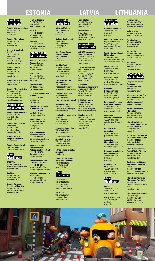### **ESTONIA LATVIA LITHUANIA**

#### **Main Film Institutions**

**Estonian Ministry of Culture** Tel: +372 628 2222 min@kul.ee www.kul.ee

**Estonian Film Institute** Tel: +372 627 6060 film@efsa.ee www.efsa.ee

**Creative Europe Desk – MEDIA** c/o Estonian Film Foundation Tel: +372 627 6065 media@looveuroopa.ee www.looveuroopa.ee

**Estonian Cultural Endowment** Tel: +372 699 9150 kulka@kulka.ee www.kulka.ee

**Estonian National Archive's** Tel: +372 693 8613 filmiarhiiv@ra.ee

**Estonian Film Commission** Film Commissioner Martin Aadamsoo Tel: +372 5650 8383 www.filmestonia.ee www.filmestonia.eu

#### **Professional Organisations**

**Estonian Filmmakers Union** ....... . ............<br>⊦372 646 4164 kinoliit@kinoliit.ee www.kinoliit.ee

**Estonian Film Producers Association** produtsendid@ .<br>produtsendid ee .<br>www.produtsendid.ee

**Estonian National Filmproducers Union** exolver.ee

**Estonian Association of Film Journalists** jaan.ruus@ekspress.ee

#### **Main Distributors**

**ACME Film** Tel: +372 5302 3005 katre.valgma@acmefilm.ee www.acmefilm.ee

**BestFilm** Tel: +372 680 1280 kino@bestfilm.eu www.bestfilm.eu

**Estonian Theatrical Distribution / Hea Film** Tel: +372 633 6166 info@filmdistributi www.heafilm.ee

### **Forum Distribution** Tel:+372 680 0716

siim.rohtla@ forumdistribution.eu

**Estinfilm** Tel: +372 5558 3279 info@estinfilm.ee www.estinfilm.ee

**Must Käsi 2** Tel: +372 646 6332 tiina@kinosoprus.ee www.kinosoprus.ee

#### **International Film Festivals**

**Animation Film Festival Animated Dreams** Tel: +372 631 4640 anima@poff.ee www.poff.ee/anima

**Baltic Event** Tel: +372 677 6363 balticevent@poff.ee be.poff.ee

**Docpoint Tallinn** e<br>@docpoint.ee www.docpoint.ee

**Tallinn Black Nights Film Festival** Tel: +372 631 4640 poff@poff.ee www.poff.ee

**Children and Youth Film Festival Just Film** Tel: +372 631 4640 justfilm@poff.ee www.poff.ee/justfilm

**Haapsalu Horror and Fantasy Film Festival** Tel: +372 631 4640 hoff@poff.ee www.hoff.ee

**Matsalu International Nature Film Festival** Tel: +372 551 0910 tiit.mesila@matsalufilm.ee www.matsalufilm.ee

**Pärnu International Documentary and Anthropology Film Festival** Tel: +372 443 0772 docfest@chaplin.ee www.chaplin.ee

**Student and Short Film Festival Sleepwalkers** Tel: +372 631 4640 sleepwalkers@poff.ee www.poff.ee/sleepwalkers

**Worldfilm. Tartu Festival of Visual Culture** Tel: +372 742 2266 festival@worldfilm.ee

www.worldfilm.ee

**Main Film Institutions**

**Ministry of Culture** Tel: +371 6733 0200 pasts@km.gov.lv www.km.gov.lv

**National Film Centre of Latvia (NFC)** Tel: +371 6735 8878 nfc@nfc.gov.lv www.nfc.lv

**State Culture Capital Foundation (VKKF)** Tel: +371 6750 3177 kkf@kkf.lv www.kkf.lv

**Riga Film Fund** Riga City Council Co-financing programme Tel: +371 6703 7659 dace.lesinska@riga.lv www.filmriga.lv

**Creative Europe Latvia MEDIA office** Tel: +371 6735 8857 mediadesk@nfc.gov.lv www.creativeeuropelatvia.eu

**Eurimages National Representative** Tel: +371 6735 8862 uldis.dimisevskis@nfc.gov.lv

**Riga Film Mus** Tel: + 371 6735 8873<br>kinomuzeis@kinomuzeis Iv kinomuzejs@kino www.kinomuzejs.lv

**Film Producers Association of Latvia** Tel: +371 6728 8147 info@filmlatvia.lv www.filmlatvia.lv

**Filmmakers Union of Latvia** Tel: +371 6728 8536

**Film Service Producers** 

**Association** kino@dtc.lv

**Audiovisual Documents** Tel: +371 6752 9822 aed@arhivi.gov.lv www.arhivi.lv

#### **Main Distributors**

**Forum Cinemas** Tel: +371 6735 7608 forumcinemas@ forumcinemas.lv www.forumcinemas.lv

**ACME Film** Tel: +371 6733 8027 info@acmefilm.lv www.acmefilm.lv

**Main Film Institutions Lithuanian Film Centre** Tel: +370 5213 0547 info@lkc.lt www.lkc.lt

**Ministry of Culture of the Republic of Lithuania**  Tel: +370 5219 3443 v.andriukaityte@lrkm.lt www.lrkm.lt

**Creative Europe Lithuania – MEDIA office** Tel: +370 6803 5042 info@mediadesklithuania.eu www.mediadesklithuania.eu **Vilnius Film Office** Tel: +370 6140 4696 film@vilnius.lt www.filmvilnius.com **Kaunas Film Office** Tel: +370 6983 7732 d.baltusis@gmail.com www.kaunasfilmoffice.eu

**Topfilm Baltic** Tel: +371 2600 3760 natalja@topfilm.lv www.topfilm.lv

**Latvian Theatrical Distribution** Tel: +371 6763 0336 info@filmdistribution.lv www.labskino.lv

#### **International Film Festivals**

**2ANNAS, International Short Film Festival** October 17 – 27, 2014 Tel: +371 2910 7124 viesturs@2annas.lv www.2annas.lv

**And the Word Became Film…, International Film Forum**<br>April 25 – May 2, 2014<br>Tel: +371 2918 7510 stunda@stunda.lv www.stunda.lv

**Baltic Pearl, International Film Festival** September 11 – 23, 2014 Tel: +371 6728 9019 info@balticpearl.lv www.balticpearl.lv

**Baltic Sea Forum for Documentaries** September 3 – 7, 2014 Tel: +371 6735 8857 balticforum@nfc.gov.lv www.mediadesklatvia.eu

**Riga International Film Festival** December 2 – 11, 2014 Tel: +371 2629 2920 info@rigaiff.lv sonora@rigaiff.lv www.rigaiff.lv

#### com **Cinema Industry Association** Tel: +370 687 45 758 pirmininkas@lkia.lt

**Lithuanian Filmmakers Union** Tel: +370 5212 0759 lks@kinosajunga.lt www.kinosajunga.lt **Independent Producers Association of Lithuania** Tel: +370 6829 6128 info@filmproducers.lt www.filmproducers.lt **Association Autorinio kino aljansas** Tel: +370 6992 6552 AutorinisKinas@hotmail.

**Association of Cinema Exhibitors** Tel: +370 6550 0498 kinorodytojai@gmail.com

**Lithuanian Association of Cinematographers** Tel: +370 6999 0146 lac@lac.lt www.lac.lt

**Lithuanian Central State Archives** Tel: +370 5247 7811 lcva@archyvai.lt www.archyvai.lt



**Acme** Tel: +370 3733 3433 info@acme.lt www.acmefilm.com

**Garsų pasaulio įrašai** Tel +370 5261 3847 gpi@gp.lt www.gpi.lt

#### **Forum Cinemas** Tel: +370 5264 4760 info@forumcinemas.lt www.forumcinamas.lt

**Lietuvos kinas** Tel: +370 5277 2696 lietuvoskinas@takas.lt

**Planetos filmai** Tel: +370 5261 0505 vilma@skalvija.lt www.skalvija.lt

**Kino pasaka** Tel: +370 5261 1516 pasaka@kinopasaka.lt www.kinopasaka.lt

**Kino Aljansas** Tel: +370 5276 0367 info@kino.lt www.scanorama.lt

#### **International Film Festivals**

**European Film Forum Scanorama** Tel: +370 6164 5643 info@kino.lt www.scanorama.lt

**Vilnius International Film Festival Kino Pavasaris** Tel: +370 5249 7221 info@kinopavasaris.lt www.kinopavasaris.lt

**Kaunas International Film Festival** Tel: +370 6550 6559 info@kinofestivalis.lt www.kinofestivalis.lt

**International Vilnius Documentary Film Festival** Tel: +370 5261 0505 vilma@skalvija.lt www.vdff.lt

**Human Rights Film Festival Ad Hoc: Inconvenient Films** Tel: +370 6051 2624 gediminas@lchr.lt www.nepatoguskinas.lt

**International Short Film Festival Vilnius Film Shorts** Tel: +370 6731 6548 info@filmshorts.lt www.filmshorts.lt

**The International Women Film Festival Cherhez la femme** Tel: +370 5261 1516 justus.barnes@kinopasaka.lt www.serseliafam.com

**International Animation Film Festival Tindirindis** Tel: +370 6104 7151 tindirindis\_festival@yahoo. com www.tindirindis.lt

**International Film Festival Baltijos Banga** Tel: +370 6439 4714 info@baltijosbanga.lt www.baltijosbanga.lt



reinis@kinosavieniba.lv

**Association of Latvia** Tel: + 371 2566 6698 info@filmservice.lv www.filmservice.lv

**Latvian Cinema Exhibitors** 

**Latvia State Archive of**